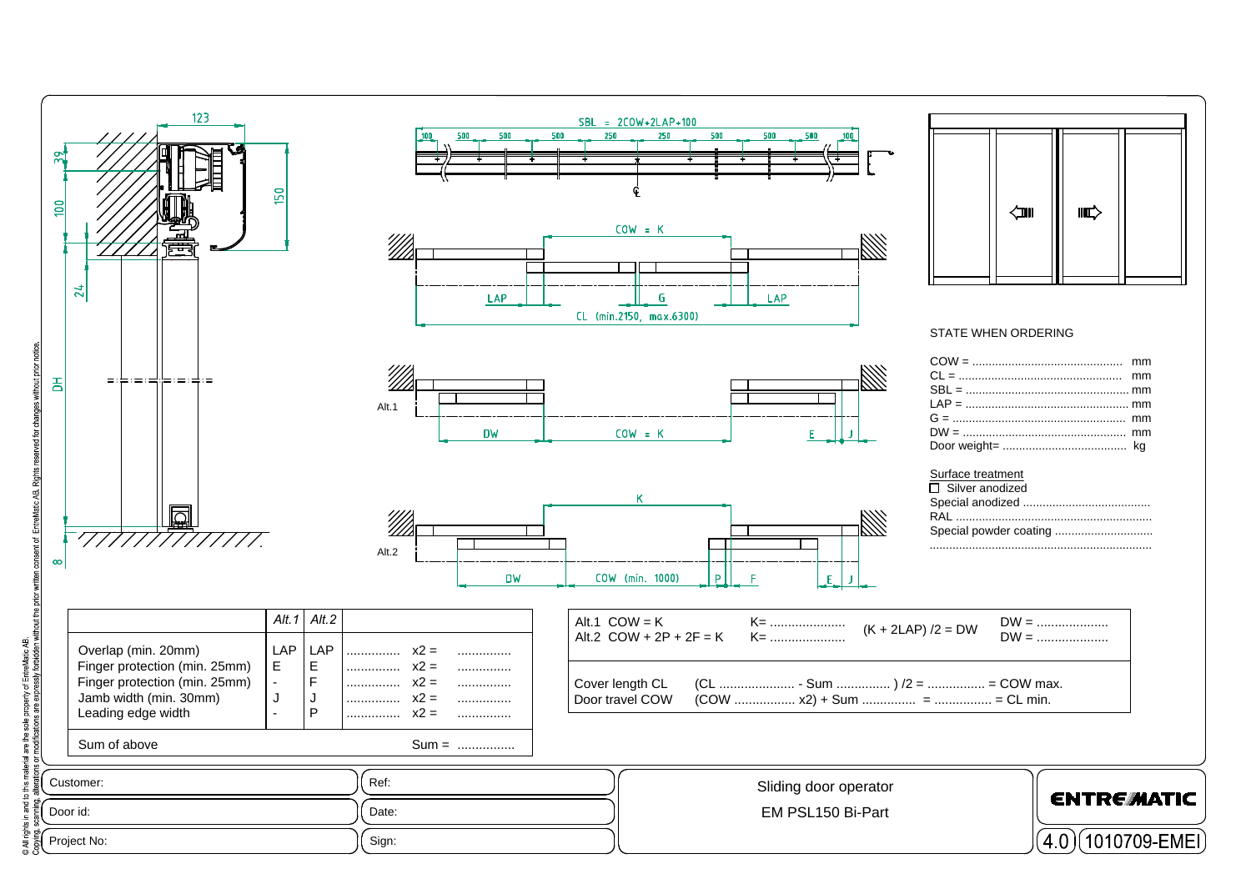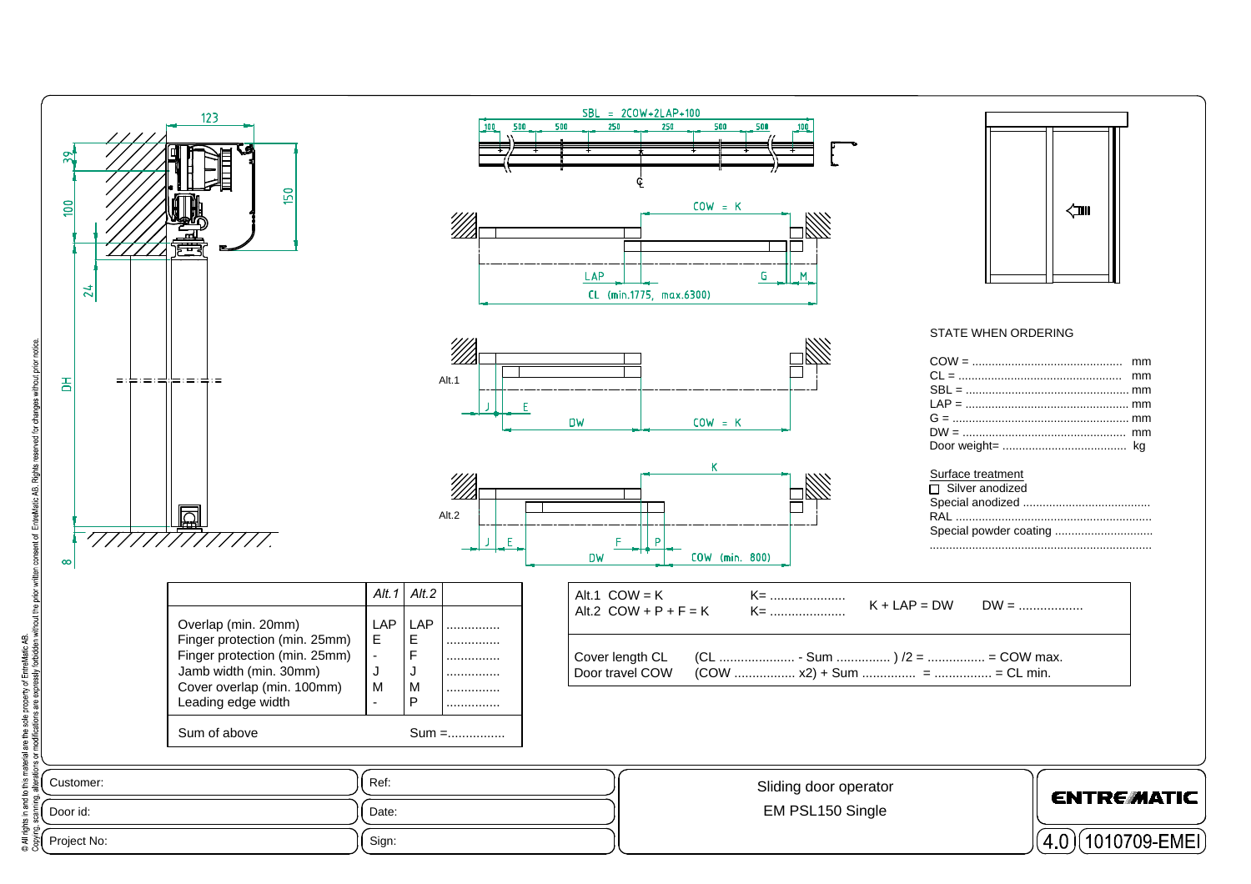